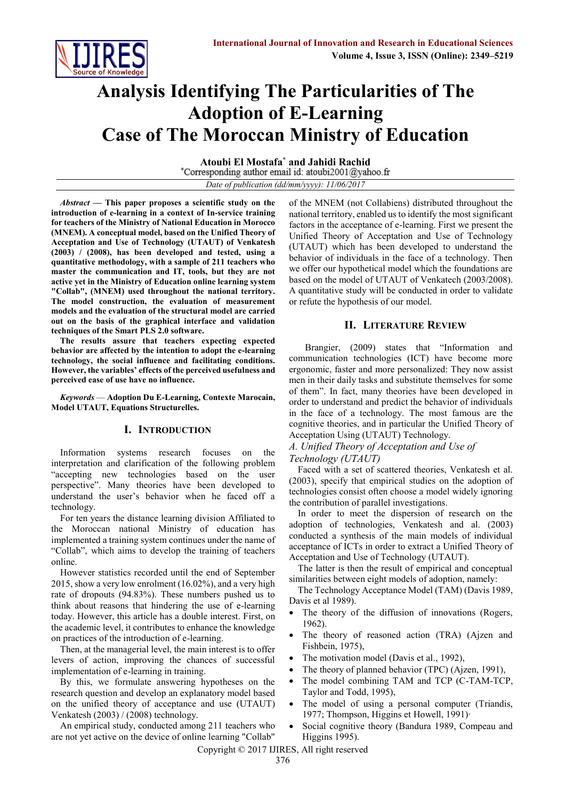

# **Analysis Identifying The Particularities of The Adoption of E-Learning Case of The Moroccan Ministry of Education**

**Atoubi El Mostafa\* and Jahidi Rachid** *Date of publication (dd/mm/yyyy): 11/06/2017*

*Abstract* **— This paper proposes a scientific study on the introduction of e-learning in a context of In-service training for teachers of the Ministry of National Education in Morocco (MNEM). A conceptual model, based on the Unified Theory of Acceptation and Use of Technology (UTAUT) of Venkatesh (2003) / (2008), has been developed and tested, using a quantitative methodology, with a sample of 211 teachers who master the communication and IT, tools, but they are not active yet in the Ministry of Education online learning system "Collab", (MNEM) used throughout the national territory. The model construction, the evaluation of measurement models and the evaluation of the structural model are carried out on the basis of the graphical interface and validation techniques of the Smart PLS 2.0 software.**

**The results assure that teachers expecting expected behavior are affected by the intention to adopt the e-learning technology, the social influence and facilitating conditions. However, the variables' effects of the perceived usefulness and perceived ease of use have no influence.**

*Keywords* — **Adoption Du E-Learning, Contexte Marocain, Model UTAUT, Equations Structurelles.**

## **I. INTRODUCTION**

Information systems research focuses on the interpretation and clarification of the following problem "accepting new technologies based on the user perspective". Many theories have been developed to understand the user's behavior when he faced off a technology.

For ten years the distance learning division Affiliated to the Moroccan national Ministry of education has implemented a training system continues under the name of "Collab", which aims to develop the training of teachers online.

However statistics recorded until the end of September 2015, show a very low enrolment (16.02%), and a very high rate of dropouts (94.83%). These numbers pushed us to think about reasons that hindering the use of e-learning today. However, this article has a double interest. First, on the academic level, it contributes to enhance the knowledge on practices of the introduction of e-learning.

Then, at the managerial level, the main interest is to offer levers of action, improving the chances of successful implementation of e-learning in training.

By this, we formulate answering hypotheses on the research question and develop an explanatory model based on the unified theory of acceptance and use (UTAUT) Venkatesh (2003) / (2008) technology.

An empirical study, conducted among 211 teachers who are not yet active on the device of online learning "Collab"

of the MNEM (not Collabiens) distributed throughout the national territory, enabled us to identify the most significant factors in the acceptance of e-learning. First we present the Unified Theory of Acceptation and Use of Technology (UTAUT) which has been developed to understand the behavior of individuals in the face of a technology. Then we offer our hypothetical model which the foundations are based on the model of UTAUT of Venkatech (2003/2008). A quantitative study will be conducted in order to validate or refute the hypothesis of our model.

#### **II. LITERATURE REVIEW**

 Brangier, (2009) states that "Information and communication technologies (ICT) have become more ergonomic, faster and more personalized: They now assist men in their daily tasks and substitute themselves for some of them". In fact, many theories have been developed in order to understand and predict the behavior of individuals in the face of a technology. The most famous are the cognitive theories, and in particular the Unified Theory of Acceptation Using (UTAUT) Technology.

### *A. Unified Theory of Acceptation and Use of Technology (UTAUT)*

Faced with a set of scattered theories, Venkatesh et al. (2003), specify that empirical studies on the adoption of technologies consist often choose a model widely ignoring the contribution of parallel investigations.

In order to meet the dispersion of research on the adoption of technologies, Venkatesh and al. (2003) conducted a synthesis of the main models of individual acceptance of ICTs in order to extract a Unified Theory of Acceptation and Use of Technology (UTAUT).

The latter is then the result of empirical and conceptual similarities between eight models of adoption, namely:

The Technology Acceptance Model (TAM) (Davis 1989, Davis et al 1989).

- The theory of the diffusion of innovations (Rogers, 1962).
- The theory of reasoned action (TRA) (Ajzen and Fishbein, 1975),
- The motivation model (Davis et al., 1992),
- The theory of planned behavior (TPC) (Ajzen, 1991),
- The model combining TAM and TCP (C-TAM-TCP, Taylor and Todd, 1995),
- The model of using a personal computer (Triandis, 1977; Thompson, Higgins et Howell, 1991)∙
- Social cognitive theory (Bandura 1989, Compeau and Higgins 1995).

Copyright © 2017 IJIRES, All right reserved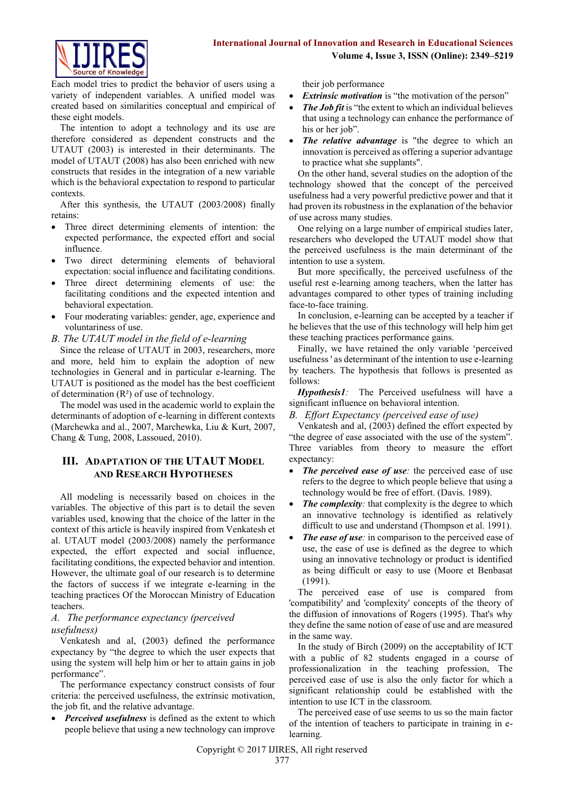

Each model tries to predict the behavior of users using a variety of independent variables. A unified model was created based on similarities conceptual and empirical of these eight models.

The intention to adopt a technology and its use are therefore considered as dependent constructs and the UTAUT (2003) is interested in their determinants. The model of UTAUT (2008) has also been enriched with new constructs that resides in the integration of a new variable which is the behavioral expectation to respond to particular contexts.

After this synthesis, the UTAUT (2003/2008) finally retains:

- Three direct determining elements of intention: the expected performance, the expected effort and social influence.
- Two direct determining elements of behavioral expectation: social influence and facilitating conditions.
- Three direct determining elements of use: the facilitating conditions and the expected intention and behavioral expectation.
- Four moderating variables: gender, age, experience and voluntariness of use.
- *B. The UTAUT model in the field of e-learning*

Since the release of UTAUT in 2003, researchers, more and more, held him to explain the adoption of new technologies in General and in particular e-learning. The UTAUT is positioned as the model has the best coefficient of determination  $(R^2)$  of use of technology.

The model was used in the academic world to explain the determinants of adoption of e-learning in different contexts (Marchewka and al., 2007, Marchewka, Liu & Kurt, 2007, Chang & Tung, 2008, Lassoued, 2010).

# **III. ADAPTATION OF THE UTAUT MODEL AND RESEARCH HYPOTHESES**

All modeling is necessarily based on choices in the variables. The objective of this part is to detail the seven variables used, knowing that the choice of the latter in the context of this article is heavily inspired from Venkatesh et al. UTAUT model (2003/2008) namely the performance expected, the effort expected and social influence, facilitating conditions, the expected behavior and intention. However, the ultimate goal of our research is to determine the factors of success if we integrate e-learning in the teaching practices Of the Moroccan Ministry of Education teachers.

## *A. The performance expectancy (perceived usefulness)*

Venkatesh and al, (2003) defined the performance expectancy by "the degree to which the user expects that using the system will help him or her to attain gains in job performance".

The performance expectancy construct consists of four criteria: the perceived usefulness, the extrinsic motivation, the job fit, and the relative advantage.

 *Perceived usefulness* is defined as the extent to which people believe that using a new technology can improve their job performance

- *Extrinsic motivation* is "the motivation of the person"
- The *Job fit* is "the extent to which an individual believes that using a technology can enhance the performance of his or her job".
- *The relative advantage* is "the degree to which an innovation is perceived as offering a superior advantage to practice what she supplants".

On the other hand, several studies on the adoption of the technology showed that the concept of the perceived usefulness had a very powerful predictive power and that it had proven its robustness in the explanation of the behavior of use across many studies.

One relying on a large number of empirical studies later, researchers who developed the UTAUT model show that the perceived usefulness is the main determinant of the intention to use a system.

But more specifically, the perceived usefulness of the useful rest e-learning among teachers, when the latter has advantages compared to other types of training including face-to-face training.

In conclusion, e-learning can be accepted by a teacher if he believes that the use of this technology will help him get these teaching practices performance gains.

Finally, we have retained the only variable 'perceived usefulness ' as determinant of the intention to use e-learning by teachers. The hypothesis that follows is presented as follows:

*Hypothesis1:* The Perceived usefulness will have a significant influence on behavioral intention.

*B. Effort Expectancy (perceived ease of use)*

Venkatesh and al, (2003) defined the effort expected by "the degree of ease associated with the use of the system". Three variables from theory to measure the effort expectancy:

- *The perceived ease of use*: the perceived ease of use refers to the degree to which people believe that using a technology would be free of effort. (Davis. 1989).
- *The complexity*: that complexity is the degree to which an innovative technology is identified as relatively difficult to use and understand (Thompson et al. 1991).
- *The ease of use*: in comparison to the perceived ease of use, the ease of use is defined as the degree to which using an innovative technology or product is identified as being difficult or easy to use (Moore et Benbasat (1991).

The perceived ease of use is compared from 'compatibility' and 'complexity' concepts of the theory of the diffusion of innovations of Rogers (1995). That's why they define the same notion of ease of use and are measured in the same way.

In the study of Birch (2009) on the acceptability of ICT with a public of 82 students engaged in a course of professionalization in the teaching profession, The perceived ease of use is also the only factor for which a significant relationship could be established with the intention to use ICT in the classroom.

The perceived ease of use seems to us so the main factor of the intention of teachers to participate in training in elearning.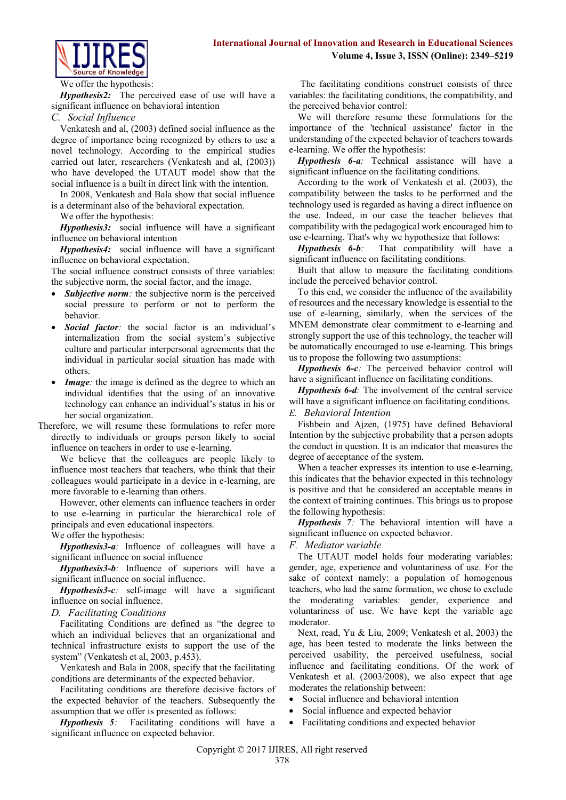

#### We offer the hypothesis:

*Hypothesis2:* The perceived ease of use will have a significant influence on behavioral intention

#### *C. Social Influence*

Venkatesh and al, (2003) defined social influence as the degree of importance being recognized by others to use a novel technology. According to the empirical studies carried out later, researchers (Venkatesh and al, (2003)) who have developed the UTAUT model show that the social influence is a built in direct link with the intention.

In 2008, Venkatesh and Bala show that social influence is a determinant also of the behavioral expectation.

We offer the hypothesis:

*Hypothesis3:* social influence will have a significant influence on behavioral intention

*Hypothesis4:* social influence will have a significant influence on behavioral expectation.

The social influence construct consists of three variables: the subjective norm, the social factor, and the image.

- *Subjective norm:* the subjective norm is the perceived social pressure to perform or not to perform the behavior.
- *Social factor:* the social factor is an individual's internalization from the social system's subjective culture and particular interpersonal agreements that the individual in particular social situation has made with others.
- *Image*: the image is defined as the degree to which an individual identifies that the using of an innovative technology can enhance an individual's status in his or her social organization.
- Therefore, we will resume these formulations to refer more directly to individuals or groups person likely to social influence on teachers in order to use e-learning.

We believe that the colleagues are people likely to influence most teachers that teachers, who think that their colleagues would participate in a device in e-learning, are more favorable to e-learning than others.

However, other elements can influence teachers in order to use e-learning in particular the hierarchical role of principals and even educational inspectors.

We offer the hypothesis:

*Hypothesis3-a:* Influence of colleagues will have a significant influence on social influence

*Hypothesis3-b:* Influence of superiors will have a significant influence on social influence.

*Hypothesis3-c:* self-image will have a significant influence on social influence.

### *D. Facilitating Conditions*

Facilitating Conditions are defined as "the degree to which an individual believes that an organizational and technical infrastructure exists to support the use of the system" (Venkatesh et al, 2003, p.453).

Venkatesh and Bala in 2008, specify that the facilitating conditions are determinants of the expected behavior.

Facilitating conditions are therefore decisive factors of the expected behavior of the teachers. Subsequently the assumption that we offer is presented as follows:

*Hypothesis 5:* Facilitating conditions will have a significant influence on expected behavior.

The facilitating conditions construct consists of three variables: the facilitating conditions, the compatibility, and the perceived behavior control:

We will therefore resume these formulations for the importance of the 'technical assistance' factor in the understanding of the expected behavior of teachers towards e-learning. We offer the hypothesis:

*Hypothesis 6-a:* Technical assistance will have a significant influence on the facilitating conditions.

According to the work of Venkatesh et al. (2003), the compatibility between the tasks to be performed and the technology used is regarded as having a direct influence on the use. Indeed, in our case the teacher believes that compatibility with the pedagogical work encouraged him to use e-learning. That's why we hypothesize that follows:

*Hypothesis 6-b:* That compatibility will have a significant influence on facilitating conditions.

Built that allow to measure the facilitating conditions include the perceived behavior control.

To this end, we consider the influence of the availability of resources and the necessary knowledge is essential to the use of e-learning, similarly, when the services of the MNEM demonstrate clear commitment to e-learning and strongly support the use of this technology, the teacher will be automatically encouraged to use e-learning. This brings us to propose the following two assumptions:

*Hypothesis 6-c:* The perceived behavior control will have a significant influence on facilitating conditions.

*Hypothesis 6-d:* The involvement of the central service will have a significant influence on facilitating conditions. *E. Behavioral Intention*

Fishbein and Ajzen, (1975) have defined Behavioral Intention by the subjective probability that a person adopts the conduct in question. It is an indicator that measures the degree of acceptance of the system.

When a teacher expresses its intention to use e-learning, this indicates that the behavior expected in this technology is positive and that he considered an acceptable means in the context of training continues. This brings us to propose the following hypothesis:

*Hypothesis 7:* The behavioral intention will have a significant influence on expected behavior.

### *F. Mediator variable*

The UTAUT model holds four moderating variables: gender, age, experience and voluntariness of use. For the sake of context namely: a population of homogenous teachers, who had the same formation, we chose to exclude the moderating variables: gender, experience and voluntariness of use. We have kept the variable age moderator.

Next, read, Yu & Liu, 2009; Venkatesh et al, 2003) the age, has been tested to moderate the links between the perceived usability, the perceived usefulness, social influence and facilitating conditions. Of the work of Venkatesh et al. (2003/2008), we also expect that age moderates the relationship between:

- Social influence and behavioral intention
- Social influence and expected behavior
- Facilitating conditions and expected behavior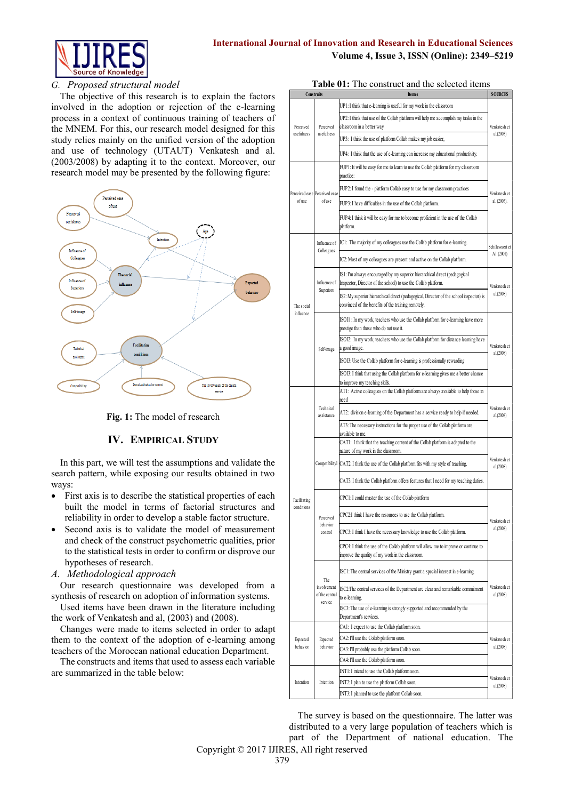

### *G. Proposed structural model*

The objective of this research is to explain the factors involved in the adoption or rejection of the e-learning process in a context of continuous training of teachers of the MNEM. For this, our research model designed for this study relies mainly on the unified version of the adoption and use of technology (UTAUT) Venkatesh and al. (2003/2008) by adapting it to the context. Moreover, our research model may be presented by the following figure:



**Fig. 1:** The model of research

## **IV. EMPIRICAL STUDY**

In this part, we will test the assumptions and validate the search pattern, while exposing our results obtained in two ways:

- First axis is to describe the statistical properties of each built the model in terms of factorial structures and reliability in order to develop a stable factor structure.
- Second axis is to validate the model of measurement and check of the construct psychometric qualities, prior to the statistical tests in order to confirm or disprove our hypotheses of research.
- *A. Methodological approach*

Our research questionnaire was developed from a synthesis of research on adoption of information systems.

Used items have been drawn in the literature including the work of Venkatesh and al, (2003) and (2008).

Changes were made to items selected in order to adapt them to the context of the adoption of e-learning among teachers of the Moroccan national education Department.

The constructs and items that used to assess each variable are summarized in the table below:

|                      | Construits                           | <b>Itemes</b>                                                                                                                                  | <b>SOURCES</b>            |
|----------------------|--------------------------------------|------------------------------------------------------------------------------------------------------------------------------------------------|---------------------------|
|                      |                                      | UP1: I think that e-learning is useful for my work in the classroom                                                                            |                           |
| Perceived            | Perceived                            | UP2: I think that use of the Collab platform will help me accomplish my tasks in the<br>classroom in a better way                              | Venkatesh et              |
| usefulness           | usefulness                           | UP3: I think the use of platform Collab makes my job easier,                                                                                   | al.(2003)                 |
|                      |                                      | UP4: I think that the use of e-learning can increase my educational productivity.                                                              |                           |
|                      |                                      | FUP1: It will be easy for me to learn to use the Collab platform for my classroom                                                              |                           |
|                      |                                      | practice:                                                                                                                                      |                           |
|                      | Perceived ease Perceived ease        | FUP2: I found the - platform Collab easy to use for my classroom practices                                                                     | Venkatesh et              |
| ofuse                | ofuse                                | FUP3: I have difficulties in the use of the Collab platform.                                                                                   | al. (2003).               |
|                      |                                      | FUP4: I think it will be easy for me to become proficient in the use of the Collab<br>platform.                                                |                           |
|                      | Influence of<br>Colleagues           | IC1: The majority of my colleagues use the Collab platform for e-learning.                                                                     | Schillewaert et           |
|                      |                                      | IC2: Most of my colleagues are present and active on the Collab platform.                                                                      | Al (2001)                 |
|                      | Influence of                         | IS1: I'm always encouraged by my superior hierarchical direct (pedagogical<br>Inspector, Director of the school) to use the Collab platform.   | Venkatesh et              |
| The social           | Superiors                            | IS2: My superior hierarchical direct (pedagogical, Director of the school inspector) is<br>convinced of the benefits of the training remotely. | al.(2008)                 |
| influence            |                                      | ISOI1 : In my work, teachers who use the Collab platform for e-learning have more<br>prestige than those who do not use it.                    |                           |
|                      |                                      | ISOI2: In my work, teachers who use the Collab platform for distance learning have                                                             | Venkatesh et              |
|                      | Self-image                           | a good image.<br>ISOI3: Use the Collab platform for e-learning is professionally rewarding                                                     | al.(2008)                 |
|                      |                                      | ISOI3: I think that using the Collab platform for e-learning gives me a better chance                                                          |                           |
|                      |                                      | to improve my teaching skills.                                                                                                                 |                           |
|                      |                                      | AT1: Active colleagues on the Collab platform are always available to help those in<br>need                                                    | Venkatesh et              |
|                      | assistance                           | Technical<br>AT2: division e-learning of the Department has a service ready to help if needed.                                                 |                           |
|                      |                                      | AT3: The necessary instructions for the proper use of the Collab platform are<br>available to me.                                              |                           |
|                      |                                      | CAT1: I think that the teaching content of the Collab platform is adapted to the<br>nature of my work in the classroom.                        |                           |
|                      |                                      | Compatibility! CAT2: I think the use of the Collab platform fits with my style of teaching.                                                    | Venkatesh et<br>al.(2008) |
|                      |                                      | CAT3: I think the Collab platform offers features that I need for my teaching duties.                                                          |                           |
| Facilitating         |                                      | CPC1: I could master the use of the Collab platform                                                                                            |                           |
| conditions           | Perceived                            | CPC2:I think I have the resources to use the Collab platform.                                                                                  |                           |
|                      | behavior<br>control                  | CPC3: I think I have the necessary knowledge to use the Collab platform.                                                                       | Venkatesh et<br>al.(2008) |
|                      |                                      | CPC4: I think the use of the Collab platform will allow me to improve or continue to<br>improve the quality of my work in the classroom.       |                           |
|                      |                                      | ISC1: The central services of the Ministry grant a special interest in e-learning.                                                             |                           |
|                      | The<br>involvement<br>of the central | ISC2: The central services of the Department are clear and remarkable commitment<br>to e-learning.                                             | Venkatesh et<br>al.(2008) |
|                      | service                              | ISC3: The use of e-learning is strongly supported and recommended by the<br>Department's services.                                             |                           |
|                      |                                      | CA1: I expect to use the Collab platform soon.                                                                                                 |                           |
| Expected<br>behavior | Expected<br>behavior                 | CA2: I'll use the Collab platform soon.                                                                                                        | Venkatesh et              |
|                      |                                      | CA3: I'll probably use the platform Collab soon.                                                                                               | al.(2008)                 |
|                      |                                      | CA4: I'll use the Collab platform soon.                                                                                                        |                           |
| Intention            | Intention                            | INT1: I intend to use the Collab platform soon.<br>INT2: I plan to use the platform Collab soon.                                               | Venkatesh et              |
|                      |                                      | INT3: I planned to use the platform Collab soon.                                                                                               | al.(2008)                 |
|                      |                                      |                                                                                                                                                |                           |

The survey is based on the questionnaire. The latter was distributed to a very large population of teachers which is part of the Department of national education. The

Copyright © 2017 IJIRES, All right reserved

**Table 01:** The construct and the selected items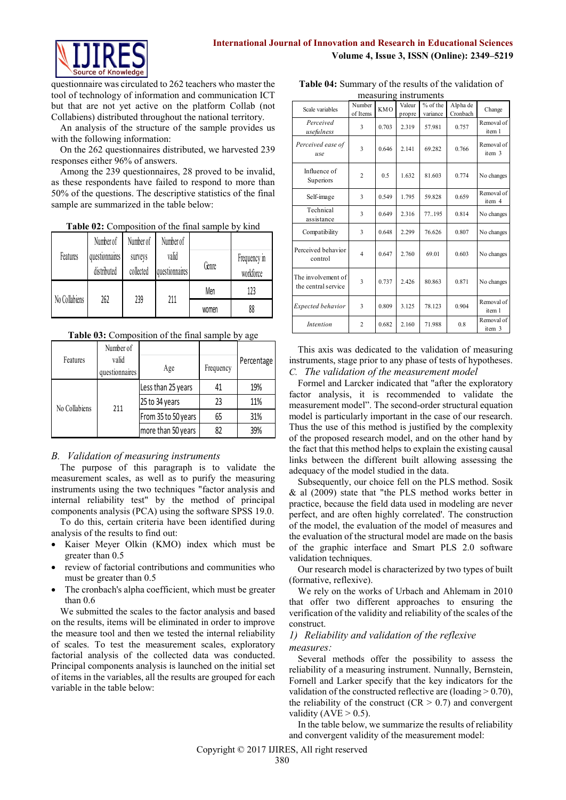

questionnaire was circulated to 262 teachers who master the tool of technology of information and communication ICT but that are not yet active on the platform Collab (not Collabiens) distributed throughout the national territory.

An analysis of the structure of the sample provides us with the following information:

On the 262 questionnaires distributed, we harvested 239 responses either 96% of answers.

Among the 239 questionnaires, 28 proved to be invalid, as these respondents have failed to respond to more than 50% of the questions. The descriptive statistics of the final sample are summarized in the table below:

**Table 02:** Composition of the final sample by kind

|               | Number of                     | Number of            | Number of               |       |                           |
|---------------|-------------------------------|----------------------|-------------------------|-------|---------------------------|
| Features      | questionnaires<br>distributed | surveys<br>collected | valid<br>questionnaires | Genre | Frequency in<br>workforce |
|               |                               |                      |                         | Men   | 123                       |
| No Collabiens | 262                           | 239                  | 211                     | women | 88                        |

**Table 03:** Composition of the final sample by age

|               | Number of               |                     |           |            |
|---------------|-------------------------|---------------------|-----------|------------|
| Features      | valid<br>questionnaires | Age                 | Frequency | Percentage |
|               |                         | Less than 25 years  | 41        | 19%        |
|               | 211                     | 25 to 34 years      | 23        | 11%        |
| No Collabiens |                         | From 35 to 50 years | 65        | 31%        |
|               |                         | more than 50 years  | 82        | 39%        |

# *B. Validation of measuring instruments*

The purpose of this paragraph is to validate the measurement scales, as well as to purify the measuring instruments using the two techniques "factor analysis and internal reliability test" by the method of principal components analysis (PCA) using the software SPSS 19.0.

To do this, certain criteria have been identified during analysis of the results to find out:

- Kaiser Meyer Olkin (KMO) index which must be greater than 0.5
- review of factorial contributions and communities who must be greater than 0.5
- The cronbach's alpha coefficient, which must be greater than 0.6

We submitted the scales to the factor analysis and based on the results, items will be eliminated in order to improve the measure tool and then we tested the internal reliability of scales. To test the measurement scales, exploratory factorial analysis of the collected data was conducted. Principal components analysis is launched on the initial set of items in the variables, all the results are grouped for each variable in the table below:

| Table 04: Summary of the results of the validation of |
|-------------------------------------------------------|
| measuring instruments                                 |

|                                           |                    | 11100001111 |                  | <b>HIDRE ATTIONED</b> |                      |                      |
|-------------------------------------------|--------------------|-------------|------------------|-----------------------|----------------------|----------------------|
| Scale variables                           | Number<br>of Items | <b>KMO</b>  | Valeur<br>propre | % of the<br>variance  | Alpha de<br>Cronbach | Change               |
| Perceived<br>usefulness                   | 3                  | 0.703       | 2.319            | 57.981                | 0.757                | Removal of<br>item 1 |
| Perceived ease of<br>use                  | 3                  | 0.646       | 2.141            | 69.282                | 0.766                | Removal of<br>item 3 |
| Influence of<br>Superiors                 | $\overline{c}$     | 0.5         | 1.632            | 81.603                | 0.774                | No changes           |
| Self-image                                | 3                  | 0.549       | 1.795            | 59.828                | 0.659                | Removal of<br>item 4 |
| Technical<br>assistance                   | 3                  | 0.649       | 2.316            | 77.195                | 0.814                | No changes           |
| Compatibility                             | 3                  | 0.648       | 2.299            | 76.626                | 0.807                | No changes           |
| Perceived behavior<br>control             | $\overline{4}$     | 0.647       | 2.760            | 69.01                 | 0.603                | No changes           |
| The involvement of<br>the central service | 3                  | 0.737       | 2426             | 80.863                | 0.871                | No changes           |
| Expected behavior                         | 3                  | 0.809       | 3.125            | 78.123                | 0.904                | Removal of<br>item 1 |
| Intention                                 | $\overline{c}$     | 0.682       | 2.160            | 71.988                | 0.8                  | Removal of<br>item 3 |

This axis was dedicated to the validation of measuring instruments, stage prior to any phase of tests of hypotheses. *C. The validation of the measurement model*

Formel and Larcker indicated that "after the exploratory factor analysis, it is recommended to validate the measurement model". The second-order structural equation model is particularly important in the case of our research. Thus the use of this method is justified by the complexity of the proposed research model, and on the other hand by the fact that this method helps to explain the existing causal links between the different built allowing assessing the adequacy of the model studied in the data.

Subsequently, our choice fell on the PLS method. Sosik & al (2009) state that "the PLS method works better in practice, because the field data used in modeling are never perfect, and are often highly correlated'. The construction of the model, the evaluation of the model of measures and the evaluation of the structural model are made on the basis of the graphic interface and Smart PLS 2.0 software validation techniques.

Our research model is characterized by two types of built (formative, reflexive).

We rely on the works of Urbach and Ahlemam in 2010 that offer two different approaches to ensuring the verification of the validity and reliability of the scales of the construct.

## *1) Reliability and validation of the reflexive measures:*

Several methods offer the possibility to assess the reliability of a measuring instrument. Nunnally, Bernstein, Fornell and Larker specify that the key indicators for the validation of the constructed reflective are (loading  $> 0.70$ ), the reliability of the construct ( $CR > 0.7$ ) and convergent validity ( $AVE > 0.5$ ).

In the table below, we summarize the results of reliability and convergent validity of the measurement model: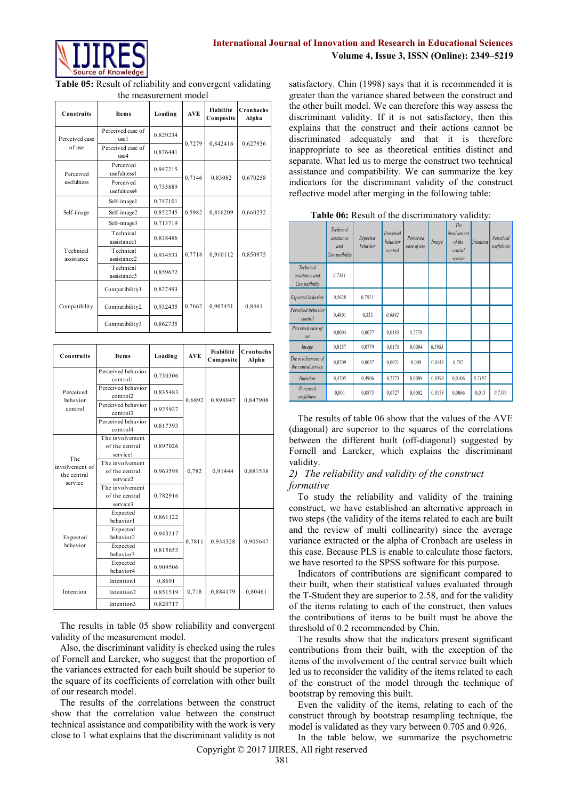

**Table 05:** Result of reliability and convergent validating the measurement model

| Construits              | <b>Items</b>              | Loading  | <b>AVE</b> | Fiabilité<br>Composite | Cronbachs<br>Alpha |
|-------------------------|---------------------------|----------|------------|------------------------|--------------------|
| Perceived ease          | Perceived ease of<br>use1 | 0,829234 | 0,7279     | 0,842416               | 0,627936           |
| of use                  | Perceived ease of<br>use4 | 0,876441 |            |                        |                    |
| Perceived               | Perceived<br>usefulness1  | 0,947215 | 0,7146     | 0,83082                |                    |
| usefulness              | Perceived<br>usefulness4  | 0,735889 |            |                        | 0,670258           |
|                         | Self-image1               | 0,747101 |            |                        |                    |
| Self-image              | Self-image2               | 0,852745 | 0,5982     | 0,816209               | 0,660232           |
|                         | Self-image3               | 0,713719 |            |                        |                    |
|                         | Technical<br>assistance1  | 0,838486 |            |                        |                    |
| Technical<br>assistance | Technical<br>assistance2  | 0,934533 | 0,7718     | 0,910112               | 0,850975           |
|                         | Technical<br>assistance3  | 0,859672 |            |                        |                    |
|                         | Compatibility1            | 0,827493 |            |                        |                    |
| Compatibility           | Compatibility2            | 0,932435 | 0,7662     | 0,907451               | 0.8461             |
|                         | Compatibility3            | 0,862735 |            |                        |                    |

| Construits                           | <b>Items</b>                                                                                                                                                                                                                                                                              | Loading  | <b>AVE</b> | Fiabilité<br>Composite                               | Cronbachs<br>Alpha | the other bant moder. We can therefore this way assess the<br>discriminant validity. If it is not satisfactory, then this                                                                                                     |                                                                                                                                                                                   |                                                          |                       |                          |        |                              |           |                         |
|--------------------------------------|-------------------------------------------------------------------------------------------------------------------------------------------------------------------------------------------------------------------------------------------------------------------------------------------|----------|------------|------------------------------------------------------|--------------------|-------------------------------------------------------------------------------------------------------------------------------------------------------------------------------------------------------------------------------|-----------------------------------------------------------------------------------------------------------------------------------------------------------------------------------|----------------------------------------------------------|-----------------------|--------------------------|--------|------------------------------|-----------|-------------------------|
|                                      | Perceived ease of                                                                                                                                                                                                                                                                         | 0,829234 |            |                                                      |                    | explains that the construct and their actions cannot be                                                                                                                                                                       |                                                                                                                                                                                   |                                                          |                       |                          |        |                              |           |                         |
| Perceived ease<br>of use             | use1<br>Perceived ease of<br>use4                                                                                                                                                                                                                                                         | 0,876441 | 0,7279     | 0,842416                                             | 0,627936           | discriminated adequately and that it is therefore<br>inappropriate to see as theoretical entities distinct and                                                                                                                |                                                                                                                                                                                   |                                                          |                       |                          |        |                              |           |                         |
| Perceived                            | Perceived<br>usefulness1                                                                                                                                                                                                                                                                  | 0,947215 |            |                                                      |                    |                                                                                                                                                                                                                               | separate. What led us to merge the construct two technical<br>assistance and compatibility. We can summarize the key<br>indicators for the discriminant validity of the construct |                                                          |                       |                          |        |                              |           |                         |
| usefulness                           | Perceived<br>usefulness4                                                                                                                                                                                                                                                                  | 0,735889 | 0,7146     | 0,83082                                              | 0,670258           | reflective model after merging in the following table:                                                                                                                                                                        |                                                                                                                                                                                   |                                                          |                       |                          |        |                              |           |                         |
|                                      | Self-image1                                                                                                                                                                                                                                                                               | 0,747101 |            |                                                      |                    |                                                                                                                                                                                                                               |                                                                                                                                                                                   |                                                          |                       |                          |        |                              |           |                         |
| Self-image                           | Self-image2                                                                                                                                                                                                                                                                               | 0,852745 | 0,5982     | 0,816209                                             | 0,660232           |                                                                                                                                                                                                                               |                                                                                                                                                                                   | Table 06: Result of the discriminatory validity:         |                       |                          |        |                              |           |                         |
|                                      | Self-image3                                                                                                                                                                                                                                                                               | 0,713719 |            |                                                      |                    |                                                                                                                                                                                                                               | Technical                                                                                                                                                                         |                                                          |                       |                          |        | The                          |           |                         |
|                                      | Technical<br>assistance1                                                                                                                                                                                                                                                                  | 0,838486 |            |                                                      |                    |                                                                                                                                                                                                                               | assistance<br>and                                                                                                                                                                 | Expected<br>behavior                                     | Perceived<br>behavior | Perceived<br>ease of use | Image  | <i>involvement</i><br>of the | Intention | Perceived<br>usefulness |
| Technical<br>assistance              | Technical<br>assistance2                                                                                                                                                                                                                                                                  | 0,934533 | 0,7718     | 0,910112                                             | 0,850975           |                                                                                                                                                                                                                               | Compatibility                                                                                                                                                                     |                                                          | control               |                          |        | central<br>service           |           |                         |
|                                      | Technical<br>assistance3                                                                                                                                                                                                                                                                  | 0,859672 |            |                                                      |                    | Technical<br>assistance and<br>Compatibility                                                                                                                                                                                  | 0,7481                                                                                                                                                                            |                                                          |                       |                          |        |                              |           |                         |
|                                      | Compatibility1                                                                                                                                                                                                                                                                            | 0,827493 |            |                                                      |                    | Expected behavior                                                                                                                                                                                                             | 0,5628                                                                                                                                                                            | 0,7811                                                   |                       |                          |        |                              |           |                         |
| Compatibility                        | Compatibility2                                                                                                                                                                                                                                                                            | 0,932435 | 0,7662     | 0,907451                                             | 0,8461             | Perceived behavior<br>control                                                                                                                                                                                                 | 0,4801                                                                                                                                                                            | 0,333                                                    | 0,6892                |                          |        |                              |           |                         |
|                                      | Compatibility3                                                                                                                                                                                                                                                                            | 0,862735 |            |                                                      |                    | Perceived ease of<br>use                                                                                                                                                                                                      | 0,0004                                                                                                                                                                            | 0,0077                                                   | 0,0185                | 0,7279                   |        |                              |           |                         |
|                                      |                                                                                                                                                                                                                                                                                           |          |            |                                                      |                    | Image                                                                                                                                                                                                                         | 0,0157                                                                                                                                                                            | 0,0779                                                   | 0,0175                | 0,0004                   | 0,5983 |                              |           |                         |
| Construits                           | <b>Items</b>                                                                                                                                                                                                                                                                              | Loading  | <b>AVE</b> | Fiabilité<br>Composite                               | Cronbachs<br>Alpha | The involvement of<br>the central service                                                                                                                                                                                     | 0,0209                                                                                                                                                                            | 0,0057                                                   | 0,0021                | 0,009                    | 0,0146 | 0,782                        |           |                         |
|                                      | Perceived behavior<br>controll                                                                                                                                                                                                                                                            | 0,730306 |            |                                                      |                    | Intention                                                                                                                                                                                                                     | 0,4205                                                                                                                                                                            | 0,4906                                                   | 0,2773                | 0,0089                   | 0,0394 | 0,0106                       | 0,7182    |                         |
| Perceived<br>behavior                | Perceived behavior<br>control2                                                                                                                                                                                                                                                            | 0,835483 | 0,6892     | 0,898047                                             | 0,847908           | Perceived<br>usefulness                                                                                                                                                                                                       | 0,001                                                                                                                                                                             | 0,0873                                                   | 0,0727                | 0,0002                   | 0,0178 | 0,0066                       | 0,013     | 0,7193                  |
| control                              | Perceived behavior<br>control3                                                                                                                                                                                                                                                            | 0,925927 |            |                                                      |                    |                                                                                                                                                                                                                               |                                                                                                                                                                                   | The results of table 06 show that the values of the AVE  |                       |                          |        |                              |           |                         |
|                                      | Perceived behavior<br>control4                                                                                                                                                                                                                                                            | 0,817393 |            |                                                      |                    | (diagonal) are superior to the squares of the correlations                                                                                                                                                                    |                                                                                                                                                                                   |                                                          |                       |                          |        |                              |           |                         |
|                                      | The involvement                                                                                                                                                                                                                                                                           |          |            |                                                      |                    | between the different built (off-diagonal) suggested by                                                                                                                                                                       |                                                                                                                                                                                   |                                                          |                       |                          |        |                              |           |                         |
|                                      | of the central<br>service1                                                                                                                                                                                                                                                                | 0,897026 |            | Fornell and Larcker, which explains the discriminant |                    |                                                                                                                                                                                                                               |                                                                                                                                                                                   |                                                          |                       |                          |        |                              |           |                         |
| The<br>involvement of<br>the central | The involvement<br>of the central                                                                                                                                                                                                                                                         | 0,963598 | 0,782      | 0,91444                                              | 0,881538           |                                                                                                                                                                                                                               | validity.<br>2) The reliability and validity of the construct<br>formative                                                                                                        |                                                          |                       |                          |        |                              |           |                         |
| service                              | service2<br>The involvement                                                                                                                                                                                                                                                               |          |            |                                                      |                    |                                                                                                                                                                                                                               |                                                                                                                                                                                   |                                                          |                       |                          |        |                              |           |                         |
|                                      | of the central<br>service3                                                                                                                                                                                                                                                                | 0,782916 |            |                                                      |                    | construct, we have established an alternative approach in                                                                                                                                                                     |                                                                                                                                                                                   | To study the reliability and validity of the training    |                       |                          |        |                              |           |                         |
|                                      | Expected<br>behavior1                                                                                                                                                                                                                                                                     | 0,861122 |            |                                                      |                    | two steps (the validity of the items related to each are built                                                                                                                                                                |                                                                                                                                                                                   |                                                          |                       |                          |        |                              |           |                         |
| Expected                             | Expected<br>behavior <sub>2</sub>                                                                                                                                                                                                                                                         | 0,943517 |            |                                                      |                    | and the review of multi collinearity) since the average                                                                                                                                                                       |                                                                                                                                                                                   |                                                          |                       |                          |        |                              |           |                         |
| behavior                             | Expected                                                                                                                                                                                                                                                                                  | 0,815653 | 0,7811     | 0,934328                                             | 0,905647           | variance extracted or the alpha of Cronbach are useless in                                                                                                                                                                    |                                                                                                                                                                                   |                                                          |                       |                          |        |                              |           |                         |
|                                      | behavior3<br>Expected                                                                                                                                                                                                                                                                     | 0,909506 |            |                                                      |                    | this case. Because PLS is enable to calculate those factors,<br>we have resorted to the SPSS software for this purpose.                                                                                                       |                                                                                                                                                                                   |                                                          |                       |                          |        |                              |           |                         |
|                                      | behavior4<br>Intention1                                                                                                                                                                                                                                                                   | 0,8691   |            |                                                      |                    | their built, when their statistical values evaluated through                                                                                                                                                                  |                                                                                                                                                                                   | Indicators of contributions are significant compared to  |                       |                          |        |                              |           |                         |
| Intention                            | Intention2                                                                                                                                                                                                                                                                                | 0,851519 | 0,718      | 0,884179                                             | 0,80461            | the T-Student they are superior to 2.58, and for the validity                                                                                                                                                                 |                                                                                                                                                                                   |                                                          |                       |                          |        |                              |           |                         |
|                                      | Intention3                                                                                                                                                                                                                                                                                | 0,820717 |            |                                                      |                    | of the items relating to each of the construct, then values                                                                                                                                                                   |                                                                                                                                                                                   |                                                          |                       |                          |        |                              |           |                         |
|                                      | The results in table 05 show reliability and convergent<br>validity of the measurement model.<br>Also, the discriminant validity is checked using the rules<br>of Fornell and Larcker, who suggest that the proportion of<br>the variances extracted for each built should be superior to |          |            |                                                      |                    | the contributions of items to be built must be above the<br>threshold of 0.2 recommended by Chin.<br>contributions from their built, with the exception of the<br>items of the involvement of the central service built which |                                                                                                                                                                                   | The results show that the indicators present significant |                       |                          |        |                              |           |                         |
|                                      | the square of its coefficients of correlation with other built                                                                                                                                                                                                                            |          |            |                                                      |                    | led us to reconsider the validity of the items related to each                                                                                                                                                                |                                                                                                                                                                                   |                                                          |                       |                          |        |                              |           |                         |
| of our research model.               |                                                                                                                                                                                                                                                                                           |          |            |                                                      |                    | of the construct of the model through the technique of<br>bootstrap by removing this built.                                                                                                                                   |                                                                                                                                                                                   |                                                          |                       |                          |        |                              |           |                         |
|                                      | The results of the correlations between the construct                                                                                                                                                                                                                                     |          |            |                                                      |                    |                                                                                                                                                                                                                               |                                                                                                                                                                                   | Even the validity of the items, relating to each of the  |                       |                          |        |                              |           |                         |
|                                      | show that the correlation value between the construct                                                                                                                                                                                                                                     |          |            |                                                      |                    | construct through by bootstrap resampling technique, the                                                                                                                                                                      |                                                                                                                                                                                   |                                                          |                       |                          |        |                              |           |                         |
|                                      | technical assistance and compatibility with the work is very                                                                                                                                                                                                                              |          |            |                                                      |                    | model is validated as they vary between 0.705 and 0.926.                                                                                                                                                                      |                                                                                                                                                                                   |                                                          |                       |                          |        |                              |           |                         |
|                                      | close to 1 what explains that the discriminant validity is not                                                                                                                                                                                                                            |          |            |                                                      |                    | In the table below, we summarize the psychometric                                                                                                                                                                             |                                                                                                                                                                                   |                                                          |                       |                          |        |                              |           |                         |

satisfactory. Chin (1998) says that it is recommended it is greater than the variance shared between the construct and the other built model. We can therefore this way assess the discriminant validity. If it is not satisfactory, then this explains that the construct and their actions cannot be discriminated adequately and that it is therefore inappropriate to see as theoretical entities distinct and separate. What led us to merge the construct two technical assistance and compatibility. We can summarize the key indicators for the discriminant validity of the construct reflective model after merging in the following table:

|                                              | Technical<br>assistance<br>and<br>Compatibility | Expected<br>behavior | Perceived<br>behavior<br>control | Perceived<br>ease of use | Image  | The<br>involvement<br>of the<br>central<br>service | Intention | Perceived<br>usefulness |
|----------------------------------------------|-------------------------------------------------|----------------------|----------------------------------|--------------------------|--------|----------------------------------------------------|-----------|-------------------------|
| Technical<br>assistance and<br>Compatibility | 0.7481                                          |                      |                                  |                          |        |                                                    |           |                         |
| Expected behavior                            | 0,5628                                          | 0.7811               |                                  |                          |        |                                                    |           |                         |
| Perceived behavior<br>control                | 0,4801                                          | 0.333                | 0.6892                           |                          |        |                                                    |           |                         |
| Perceived ease of<br>use                     | 0,0004                                          | 0,0077               | 0,0185                           | 0,7279                   |        |                                                    |           |                         |
| Image                                        | 0,0157                                          | 0,0779               | 0,0175                           | 0,0004                   | 0.5983 |                                                    |           |                         |
| The involvement of<br>the central service    | 0,0209                                          | 0,0057               | 0,0021                           | 0,009                    | 0,0146 | 0.782                                              |           |                         |
| Intention                                    | 0,4205                                          | 0,4906               | 0,2773                           | 0,0089                   | 0,0394 | 0,0106                                             | 0.7182    |                         |
| Perceived<br>usefulness                      | 0,001                                           | 0,0873               | 0,0727                           | 0,0002                   | 0,0178 | 0,0066                                             | 0,013     | 0,7193                  |

|  |  | Table 06: Result of the discriminatory validity: |  |
|--|--|--------------------------------------------------|--|
|--|--|--------------------------------------------------|--|

### *2) The reliability and validity of the construct formative*

Copyright © 2017 IJIRES, All right reserved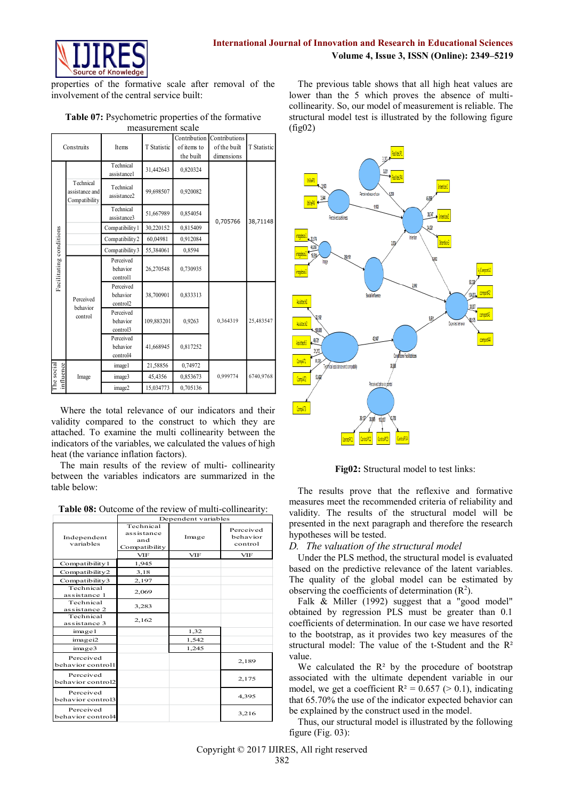

properties of the formative scale after removal of the involvement of the central service built:

**Table 07:** Psychometric properties of the formative measurement scale

|                         | Construits                                   |                                                                                                        | Items                             | T Statistic                    | Contribution<br>of items to<br>the built | Contributions<br>of the built<br>dimensions                                                                                                                                                                                              | T Statistic                      |                                                      |
|-------------------------|----------------------------------------------|--------------------------------------------------------------------------------------------------------|-----------------------------------|--------------------------------|------------------------------------------|------------------------------------------------------------------------------------------------------------------------------------------------------------------------------------------------------------------------------------------|----------------------------------|------------------------------------------------------|
|                         |                                              |                                                                                                        | Technical<br>assistance1          | 31,442643                      | 0,820324                                 |                                                                                                                                                                                                                                          |                                  |                                                      |
|                         | Technical<br>assistance and<br>Compatibility | Technical<br>99,698507<br>0,920082<br>assistance2<br>Technical<br>51,667989<br>0,854054<br>assistance3 |                                   | UillePi<br>340<br>3,544        |                                          |                                                                                                                                                                                                                                          |                                  |                                                      |
|                         |                                              |                                                                                                        |                                   |                                |                                          |                                                                                                                                                                                                                                          |                                  | Perceived usefulness                                 |
|                         |                                              |                                                                                                        | Compatibility 1                   | 30,220152                      | 0,815409                                 | 0,705766                                                                                                                                                                                                                                 | 38,71148                         |                                                      |
|                         |                                              |                                                                                                        | Compatibility2                    | 60,04981                       | 0,912084                                 |                                                                                                                                                                                                                                          |                                  |                                                      |
|                         |                                              |                                                                                                        | Compatibility 3                   | 55,384061                      | 0,8594                                   |                                                                                                                                                                                                                                          |                                  |                                                      |
| Facilitating conditions |                                              |                                                                                                        | Perceived<br>behavior             | 26,270548                      | 0,730935                                 |                                                                                                                                                                                                                                          |                                  | may.                                                 |
|                         | Perceived                                    |                                                                                                        | controll<br>Perceived<br>behavior | 38,700901                      | 0,833313                                 |                                                                                                                                                                                                                                          |                                  | Assisttech                                           |
|                         | behavior<br>control                          |                                                                                                        | control2<br>Perceived<br>behavior | 109,883201                     | 0,9263                                   | 0,364319                                                                                                                                                                                                                                 | 25,483547                        | 2,192<br>Assisted !                                  |
|                         |                                              |                                                                                                        | control3<br>Perceived<br>behavior | 41,668945                      | 0,817252                                 |                                                                                                                                                                                                                                          |                                  | 100.005<br>41,71<br><b>Issistech</b><br>31,313       |
|                         |                                              |                                                                                                        | control4                          | 21,58856                       | 0,74972                                  |                                                                                                                                                                                                                                          |                                  | <b>H3H</b><br>CompAT)<br>Technical assistance and co |
| influence<br>The socia  | Image                                        |                                                                                                        | image1<br>image3                  | 45,4356                        | 0,853673                                 | 0,999774                                                                                                                                                                                                                                 | 6740,9768                        | 51,422                                               |
|                         |                                              |                                                                                                        | image2                            | 15,034773                      | 0,705136                                 |                                                                                                                                                                                                                                          |                                  | <b>CompAT</b>                                        |
|                         | heat (the variance inflation factors).       |                                                                                                        |                                   |                                |                                          | validity compared to the construct to which they are<br>attached. To examine the multi collinearity between the<br>indicators of the variables, we calculated the values of high<br>The main results of the review of multi-collinearity |                                  |                                                      |
|                         | table below:                                 |                                                                                                        |                                   |                                |                                          | between the variables indicators are summarized in the                                                                                                                                                                                   |                                  | Fig<br>The results<br>measures meet                  |
|                         |                                              |                                                                                                        |                                   |                                |                                          | Table 08: Outcome of the review of multi-collinearity:                                                                                                                                                                                   |                                  | validity. The 1                                      |
|                         | Independent<br>variables                     |                                                                                                        |                                   | Technical<br>assistance<br>and | Dependent variables<br>Image             |                                                                                                                                                                                                                                          | Perceived<br>behavior<br>control | presented in the<br>hypotheses will                  |
|                         |                                              |                                                                                                        |                                   | Compatibility<br>VIF           | VIF                                      |                                                                                                                                                                                                                                          | VIF                              | The valuat<br>D.                                     |
|                         | Compatibility 1                              |                                                                                                        |                                   | 1,945                          |                                          |                                                                                                                                                                                                                                          |                                  | Under the PL                                         |
|                         | Compatibility2                               |                                                                                                        |                                   | 3,18                           |                                          |                                                                                                                                                                                                                                          |                                  | based on the pi                                      |
|                         | Compatibility3<br>Technical                  |                                                                                                        |                                   | 2,197                          |                                          |                                                                                                                                                                                                                                          |                                  | The quality of                                       |
|                         | assistance 1<br>Technical                    |                                                                                                        |                                   | 2,069                          |                                          |                                                                                                                                                                                                                                          |                                  | observing the co<br>Falk & Mill                      |
|                         | assistance 2<br>Technical                    |                                                                                                        |                                   | 3,283                          |                                          |                                                                                                                                                                                                                                          |                                  | obtained by re                                       |
|                         | assistance 3                                 |                                                                                                        |                                   | 2,162                          |                                          |                                                                                                                                                                                                                                          |                                  | coefficients of d                                    |
|                         | image1<br>imagei2                            |                                                                                                        |                                   |                                | 1,32<br>1,542                            |                                                                                                                                                                                                                                          |                                  | to the bootstrap                                     |
|                         | image3                                       |                                                                                                        |                                   |                                | 1,245                                    |                                                                                                                                                                                                                                          |                                  | structural mode                                      |
|                         | Perceived<br>behavior controll               |                                                                                                        |                                   |                                |                                          |                                                                                                                                                                                                                                          | 2,189                            | value.<br>We calculate                               |
|                         | Perceived<br>behavior control2               |                                                                                                        |                                   |                                |                                          |                                                                                                                                                                                                                                          | 2,175                            | associated with                                      |
|                         | Perceived<br>behavior control3               |                                                                                                        |                                   |                                |                                          |                                                                                                                                                                                                                                          | 4,395                            | model, we get a<br>that 65.70% the                   |
|                         | Perceived<br>behavior control4               |                                                                                                        |                                   |                                |                                          |                                                                                                                                                                                                                                          | 3,216                            | be explained by<br>Thus, our stru                    |

**Table 08:** Outcome of the review of multi-collinearity:

|                                | Dependent variables                             |            |                                  |  |  |  |  |
|--------------------------------|-------------------------------------------------|------------|----------------------------------|--|--|--|--|
| Independent<br>variables       | Technical<br>assistance<br>and<br>Compatibility | Image      | Perceived<br>behavior<br>control |  |  |  |  |
|                                | <b>VIF</b>                                      | <b>VIF</b> | <b>VIF</b>                       |  |  |  |  |
| Compatibility 1                | 1,945                                           |            |                                  |  |  |  |  |
| Compatibility2                 | 3,18                                            |            |                                  |  |  |  |  |
| Compatibility3                 | 2,197                                           |            |                                  |  |  |  |  |
| Technical<br>assistance 1      | 2,069                                           |            |                                  |  |  |  |  |
| Technical<br>assistance 2      | 3,283                                           |            |                                  |  |  |  |  |
| Technical<br>assistance 3      | 2,162                                           |            |                                  |  |  |  |  |
| image1                         |                                                 | 1,32       |                                  |  |  |  |  |
| imagei2                        |                                                 | 1,542      |                                  |  |  |  |  |
| image3                         |                                                 | 1,245      |                                  |  |  |  |  |
| Perceived<br>behavior controll |                                                 |            | 2,189                            |  |  |  |  |
| Perceived<br>behavior control2 |                                                 |            | 2,175                            |  |  |  |  |
| Perceived<br>behavior control3 |                                                 |            | 4,395                            |  |  |  |  |
| Perceived<br>behavior control4 |                                                 |            | 3,216                            |  |  |  |  |

The previous table shows that all high heat values are lower than the 5 which proves the absence of multicollinearity. So, our model of measurement is reliable. The structural model test is illustrated by the following figure (fig02)



**Fig02:** Structural model to test links:

The results prove that the reflexive and formative measures meet the recommended criteria of reliability and validity. The results of the structural model will be presented in the next paragraph and therefore the research hypotheses will be tested.

### *D. The valuation of the structural model*

Under the PLS method, the structural model is evaluated based on the predictive relevance of the latent variables. The quality of the global model can be estimated by observing the coefficients of determination  $(R^2)$ .

Falk & Miller (1992) suggest that a "good model" obtained by regression PLS must be greater than 0.1 coefficients of determination. In our case we have resorted to the bootstrap, as it provides two key measures of the structural model: The value of the t-Student and the R² value.

We calculated the  $R<sup>2</sup>$  by the procedure of bootstrap associated with the ultimate dependent variable in our model, we get a coefficient  $R^2 = 0.657$  ( $> 0.1$ ), indicating that 65.70% the use of the indicator expected behavior can be explained by the construct used in the model.

Thus, our structural model is illustrated by the following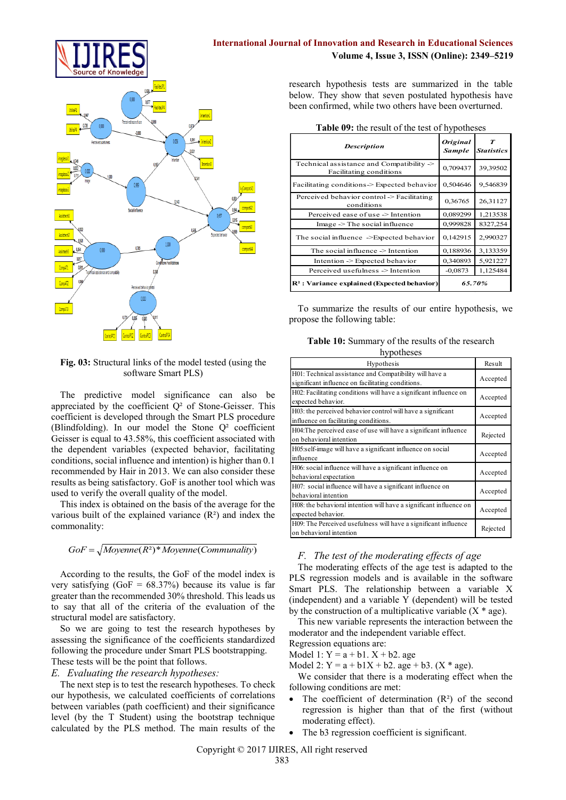

#### **Fig. 03:** Structural links of the model tested (using the software Smart PLS)

The predictive model significance can also be appreciated by the coefficient Q² of Stone-Geisser. This coefficient is developed through the Smart PLS procedure (Blindfolding). In our model the Stone Q² coefficient Geisser is equal to 43.58%, this coefficient associated with the dependent variables (expected behavior, facilitating conditions, social influence and intention) is higher than 0.1 recommended by Hair in 2013. We can also consider these results as being satisfactory. GoF is another tool which was used to verify the overall quality of the model.

This index is obtained on the basis of the average for the various built of the explained variance  $(R<sup>2</sup>)$  and index the commonality:

# $GoF = \sqrt{Moyenne(R^2)^*Moyenne(Communality)}$

According to the results, the GoF of the model index is very satisfying  $(GoF = 68.37%)$  because its value is far greater than the recommended 30% threshold. This leads us to say that all of the criteria of the evaluation of the structural model are satisfactory.

So we are going to test the research hypotheses by assessing the significance of the coefficients standardized following the procedure under Smart PLS bootstrapping. These tests will be the point that follows.

#### *E. Evaluating the research hypotheses:*

The next step is to test the research hypotheses. To check our hypothesis, we calculated coefficients of correlations between variables (path coefficient) and their significance level (by the T Student) using the bootstrap technique calculated by the PLS method. The main results of the

## **International Journal of Innovation and Research in Educational Sciences Volume 4, Issue 3, ISSN (Online): 2349–5219**

research hypothesis tests are summarized in the table below. They show that seven postulated hypothesis have been confirmed, while two others have been overturned.

| Table 09: the result of the test of hypotheses |  |  |  |  |  |  |
|------------------------------------------------|--|--|--|--|--|--|
|------------------------------------------------|--|--|--|--|--|--|

| <b>Description</b>                                                   | <b>Original</b><br><b>Sample</b> | $\boldsymbol{\tau}$<br><b>Statistics</b> |
|----------------------------------------------------------------------|----------------------------------|------------------------------------------|
| Technical assistance and Compatibility -><br>Facilitating conditions | 0,709437                         | 39,39502                                 |
| Facilitating conditions -> Expected behavior                         | 0,504646                         | 9,546839                                 |
| Perceived behavior control -> Facilitating<br>conditions             | 0,36765                          | 26,31127                                 |
| Perceived ease of use -> Intention                                   | 0,089299                         | 1,213538                                 |
| $Image \geq The social influence$                                    | 0,999828                         | 8327,254                                 |
| The social influence ->Expected behavior                             | 0,142915                         | 2,990327                                 |
| The social influence $\geq$ Intention                                | 0,188936                         | 3,133359                                 |
| Intention -> Expected behavior                                       | 0,340893                         | 5,921227                                 |
| Perceived usefulness -> Intention                                    | $-0.0873$                        | 1,125484                                 |
| $\mathbb{R}^2$ : Variance explained (Expected behavior)              | 65.70%                           |                                          |

To summarize the results of our entire hypothesis, we propose the following table:

**Table 10:** Summary of the results of the research hypotheses

| nypourosos                                                                                                   |          |
|--------------------------------------------------------------------------------------------------------------|----------|
| <b>Hypothesis</b>                                                                                            | Result   |
| H01: Technical assistance and Compatibility will have a<br>significant influence on facilitating conditions. | Accepted |
| H02: Facilitating conditions will have a significant influence on<br>expected behavior.                      | Accepted |
| H03: the perceived behavior control will have a significant<br>influence on facilitating conditions.         | Accepted |
| H04: The perceived ease of use will have a significant influence<br>on behavioral intention                  | Rejected |
| H05:self-image will have a significant influence on social<br>influence                                      | Accepted |
| H06: social influence will have a significant influence on<br>behavioral expectation                         | Accepted |
| H07: social influence will have a significant influence on<br>behavioral intention                           | Accepted |
| H08: the behavioral intention will have a significant influence on<br>expected behavior.                     | Accepted |
| H09: The Perceived usefulness will have a significant influence<br>on behavioral intention                   | Rejected |

### *F. The test of the moderating effects of age*

The moderating effects of the age test is adapted to the PLS regression models and is available in the software Smart PLS. The relationship between a variable X (independent) and a variable Y (dependent) will be tested by the construction of a multiplicative variable  $(X^*$  age).

This new variable represents the interaction between the moderator and the independent variable effect.

Regression equations are: Model 1:  $Y = a + b1$ .  $X + b2$ . age

Model 2:  $Y = a + b1X + b2$ . age + b3. (X \* age).

We consider that there is a moderating effect when the following conditions are met:

- The coefficient of determination  $(R^2)$  of the second regression is higher than that of the first (without moderating effect).
- The b3 regression coefficient is significant.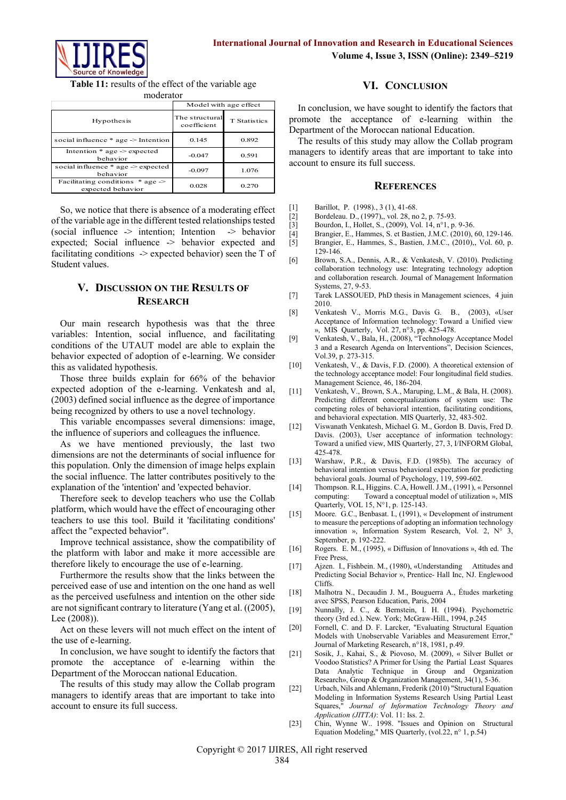

**Table 11:** results of the effect of the variable age moderator

|                                                            | Model with age effect         |                     |
|------------------------------------------------------------|-------------------------------|---------------------|
| <b>Hypothesis</b>                                          | The structural<br>coefficient | <b>T</b> Statistics |
| social influence $*$ age $\geq$ Intention                  | 0.145                         | 0.892               |
| Intention $*$ age $\geq$ expected<br>behavior              | $-0.047$                      | 0.591               |
| social influence $*$ age $\geq$ expected<br>hehavior       | $-0.097$                      | 1.076               |
| Facilitating conditions $*$ age $\ge$<br>expected behavior | 0.028                         | 0.270               |

So, we notice that there is absence of a moderating effect of the variable age in the different tested relationships tested  $(social influence \rightarrow intention; Intention \rightarrow behavior)$ expected; Social influence -> behavior expected and facilitating conditions  $\rightarrow$  expected behavior) seen the T of Student values.

# **V. DISCUSSION ON THE RESULTS OF RESEARCH**

Our main research hypothesis was that the three variables: Intention, social influence, and facilitating conditions of the UTAUT model are able to explain the behavior expected of adoption of e-learning. We consider this as validated hypothesis.

Those three builds explain for 66% of the behavior expected adoption of the e-learning. Venkatesh and al, (2003) defined social influence as the degree of importance being recognized by others to use a novel technology.

This variable encompasses several dimensions: image, the influence of superiors and colleagues the influence.

As we have mentioned previously, the last two dimensions are not the determinants of social influence for this population. Only the dimension of image helps explain the social influence. The latter contributes positively to the explanation of the 'intention' and 'expected behavior.

Therefore seek to develop teachers who use the Collab platform, which would have the effect of encouraging other teachers to use this tool. Build it 'facilitating conditions' affect the "expected behavior".

Improve technical assistance, show the compatibility of the platform with labor and make it more accessible are therefore likely to encourage the use of e-learning.

Furthermore the results show that the links between the perceived ease of use and intention on the one hand as well as the perceived usefulness and intention on the other side are not significant contrary to literature (Yang et al. ((2005), Lee (2008)).

Act on these levers will not much effect on the intent of the use of e-learning.

In conclusion, we have sought to identify the factors that promote the acceptance of e-learning within the Department of the Moroccan national Education.

The results of this study may allow the Collab program managers to identify areas that are important to take into account to ensure its full success.

## **VI. CONCLUSION**

In conclusion, we have sought to identify the factors that promote the acceptance of e-learning within the Department of the Moroccan national Education.

The results of this study may allow the Collab program managers to identify areas that are important to take into account to ensure its full success.

#### **REFERENCES**

- [1] Barillot, P. (1998)., 3 (1), 41-68.<br>[2] Bordeleau. D., (1997)., vol. 28, no
- Bordeleau. D., (1997),, vol. 28, no 2, p. 75-93.
- [3] Bourdon, I., Hollet, S., (2009), Vol. 14, n°1, p. 9-36.<br>[4] Brangier, E., Hammes, S. et Bastien, J.M.C. (2010),
- [4] Brangier, E., Hammes, S. et Bastien, J.M.C. (2010), 60, 129-146.<br>[5] Brangier, E., Hammes, S., Bastien, J.M.C., (2010), Vol. 60, p.
- Brangier, E., Hammes, S., Bastien, J.M.C., (2010),, Vol. 60, p. 129-146.
- [6] Brown, S.A., Dennis, A.R., & Venkatesh, V. (2010). Predicting collaboration technology use: Integrating technology adoption and collaboration research. Journal of Management Information Systems, 27, 9-53.
- [7] Tarek LASSOUED, PhD thesis in Management sciences, 4 juin 2010.
- [8] Venkatesh V., Morris M.G., Davis G. B., (2003), «User Acceptance of Information technology: Toward a Unified view », MIS Quarterly, Vol. 27, n°3, pp. 425-478.
- [9] Venkatesh, V., Bala, H., (2008), "Technology Acceptance Model 3 and a Research Agenda on Interventions", Decision Sciences, Vol.39, p. 273-315.
- [10] Venkatesh, V., & Davis, F.D. (2000). A theoretical extension of the technology acceptance model: Four longitudinal field studies. Management Science, 46, 186-204.
- [11] Venkatesh, V., Brown, S.A., Maruping, L.M., & Bala, H. (2008). Predicting different conceptualizations of system use: The competing roles of behavioral intention, facilitating conditions, and behavioral expectation. MIS Quarterly, 32, 483-502.
- [12] Viswanath Venkatesh, Michael G. M., Gordon B. Davis, Fred D. Davis. (2003), User acceptance of information technology: Toward a unified view, MIS Quarterly, 27, 3, I/INFORM Global, 425-478.
- [13] Warshaw, P.R., & Davis, F.D. (1985b). The accuracy of behavioral intention versus behavioral expectation for predicting behavioral goals. Journal of Psychology, 119, 599-602.
- [14] Thompson. R.L, Higgins. C.A, Howell. J.M., (1991), « Personnel Toward a conceptual model of utilization », MIS Quarterly, VOL 15, N°1, p. 125-143.
- [15] Moore. G.C., Benbasat. I., (1991), « Development of instrument to measure the perceptions of adopting an information technology innovation », Information System Research, Vol. 2, N° 3, September, p. 192-222.
- [16] Rogers. E. M., (1995), « Diffusion of Innovations », 4th ed. The Free Press,
- [17] Ajzen. I., Fishbein. M., (1980), «Understanding Attitudes and Predicting Social Behavior », Prentice- Hall Inc, NJ. Englewood Cliffs.
- [18] Malhotra N., Decaudin J. M., Bouguerra A., Études marketing avec SPSS, Pearson Education, Paris, 2004
- [19] Nunnally, J. C., & Bernstein, I. H. (1994). Psychometric theory (3rd ed.). New. York; McGraw-Hill., 1994, p.245
- [20] Fornell, C. and D. F. Larcker, "Evaluating Structural Equation Models with Unobservable Variables and Measurement Error," Journal of Marketing Research, n°18, 1981, p.49.
- [21] Sosik, J., Kahai, S., & Piovoso, M. (2009), « Silver Bullet or Voodoo Statistics? A Primer for Using the Partial Least Squares Data Analytic Technique in Group and Organization Research», Group & Organization Management, 34(1), 5-36.
- [22] Urbach, Nils and Ahlemann, Frederik (2010) "Structural Equation Modeling in Information Systems Research Using Partial Least Squares," *Journal of Information Technology Theory and Application (JITTA)*: Vol. 11: Iss. 2.
- [23] Chin, Wynne W.. 1998. "Issues and Opinion on Structural Equation Modeling," MIS Quarterly, (vol.22, n° 1, p.54)